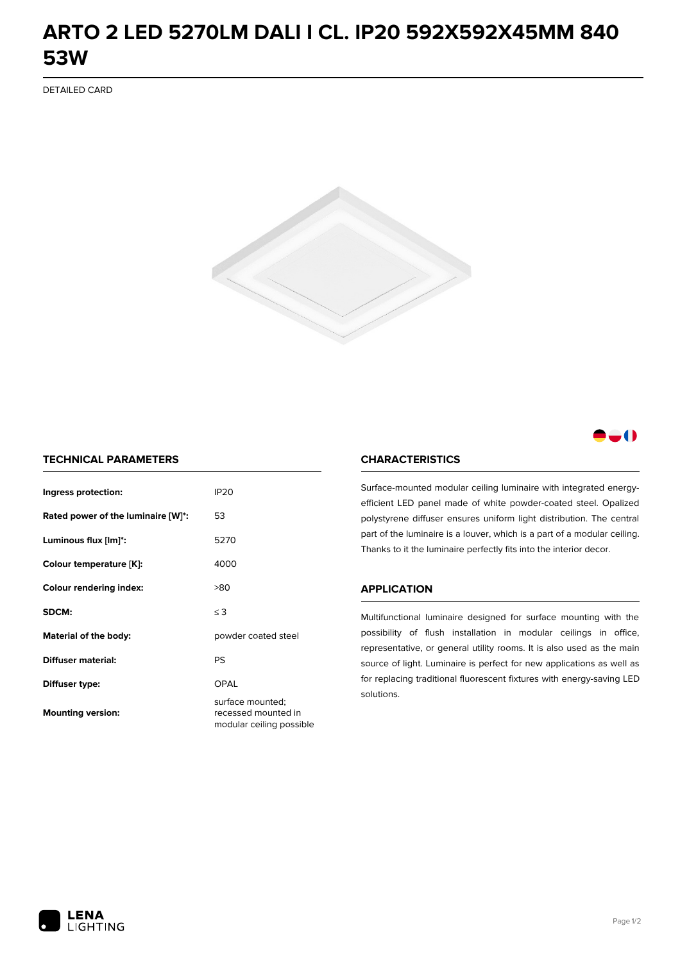## **ARTO 2 LED 5270LM DALI I CL. IP20 592X592X45MM 840 53W**

DETAILED CARD



### -0

#### **TECHNICAL PARAMETERS**

| Ingress protection:                | <b>IP20</b>                                                         |  |
|------------------------------------|---------------------------------------------------------------------|--|
| Rated power of the luminaire [W]*: | 53                                                                  |  |
| Luminous flux [lm]*:               | 5270                                                                |  |
| Colour temperature [K]:            | 4000                                                                |  |
| <b>Colour rendering index:</b>     | >80                                                                 |  |
| SDCM:                              | $\leq$ 3                                                            |  |
| Material of the body:              | powder coated steel                                                 |  |
| Diffuser material:                 | PS                                                                  |  |
| Diffuser type:                     | OPAL                                                                |  |
| <b>Mounting version:</b>           | surface mounted;<br>recessed mounted in<br>modular ceiling possible |  |

#### **CHARACTERISTICS**

Surface-mounted modular ceiling luminaire with integrated energyefficient LED panel made of white powder-coated steel. Opalized polystyrene diffuser ensures uniform light distribution. The central part of the luminaire is a louver, which is a part of a modular ceiling. Thanks to it the luminaire perfectly fits into the interior decor.

#### **APPLICATION**

Multifunctional luminaire designed for surface mounting with the possibility of flush installation in modular ceilings in office, representative, or general utility rooms. It is also used as the main source of light. Luminaire is perfect for new applications as well as for replacing traditional fluorescent fixtures with energy-saving LED solutions.